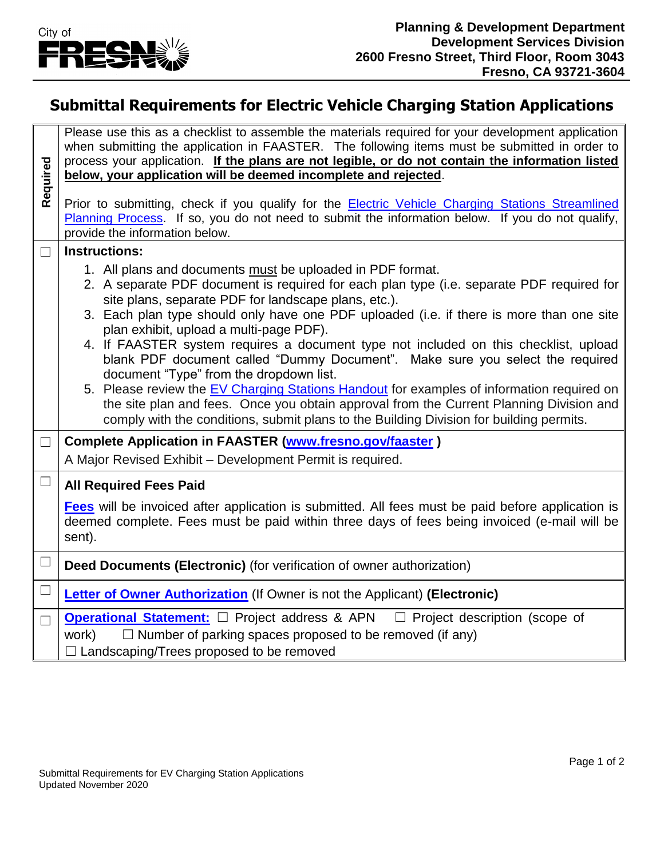

## **Submittal Requirements for Electric Vehicle Charging Station Applications**

**Required** Please use this as a checklist to assemble the materials required for your development application when submitting the application in FAASTER. The following items must be submitted in order to process your application. **If the plans are not legible, or do not contain the information listed below, your application will be deemed incomplete and rejected**. Prior to submitting, check if you qualify for the [Electric Vehicle Charging Stations Streamlined](https://webapp.fresno.gov/docs/darm/PlanningDocs/G36%20-%20EV%20Charging%20Stations%20Streamlined%20Planning%20Process.pdf)  [Planning Process.](https://webapp.fresno.gov/docs/darm/PlanningDocs/G36%20-%20EV%20Charging%20Stations%20Streamlined%20Planning%20Process.pdf) If so, you do not need to submit the information below. If you do not qualify, provide the information below. ☐ **Instructions:**  1. All plans and documents must be uploaded in PDF format. 2. A separate PDF document is required for each plan type (i.e. separate PDF required for site plans, separate PDF for landscape plans, etc.). 3. Each plan type should only have one PDF uploaded (i.e. if there is more than one site plan exhibit, upload a multi-page PDF). 4. If FAASTER system requires a document type not included on this checklist, upload blank PDF document called "Dummy Document". Make sure you select the required document "Type" from the dropdown list. 5. Please review the [EV Charging Stations Handout](https://webapp.fresno.gov/docs/darm/PlanningDocs/G12%20-%20EV%20Charging%20Stations%20Handout.pdf) for examples of information required on the site plan and fees. Once you obtain approval from the Current Planning Division and comply with the conditions, submit plans to the Building Division for building permits. ☐ **Complete Application in FAASTER [\(www.fresno.gov/faaster](http://www.fresno.gov/faaster) )** A Major Revised Exhibit – Development Permit is required. ☐ **All Required Fees Paid** 

**[Fees](https://webapp.fresno.gov/docs/darm/PlanningDocs/C4.B.4%20-%20All%20Application%20Fees.pdf)** will be invoiced after application is submitted. All fees must be paid before application is deemed complete. Fees must be paid within three days of fees being invoiced (e-mail will be sent).

- ☐ **Deed Documents (Electronic)** (for verification of owner authorization)
- ☐ **[Letter of Owner Authorization](https://webapp.fresno.gov/docs/darm/PlanningDocs/C4.B.6%20-%20Letter%20of%20Owner%20Authorization.pdf)** (If Owner is not the Applicant) **(Electronic)**

□ **[Operational Statement:](https://webapp.fresno.gov/docs/darm/PlanningDocs/G6%20-%20Operational%20Statement.pdf)** □ Project address & APN □ Project description (scope of work)  $\Box$  Number of parking spaces proposed to be removed (if any) □ Landscaping/Trees proposed to be removed